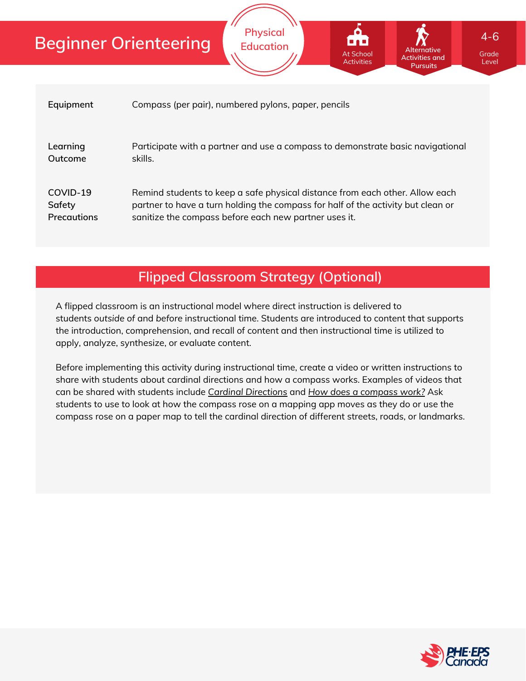# **Beginner Orienteering**

|                    | Pursuits                                                                         |
|--------------------|----------------------------------------------------------------------------------|
| Equipment          | Compass (per pair), numbered pylons, paper, pencils                              |
| Learning           | Participate with a partner and use a compass to demonstrate basic navigational   |
| Outcome            | skills.                                                                          |
| COVID-19           | Remind students to keep a safe physical distance from each other. Allow each     |
| Safety             | partner to have a turn holding the compass for half of the activity but clean or |
| <b>Precautions</b> | sanitize the compass before each new partner uses it.                            |

**Physical Education**

## **Flipped Classroom Strategy (Optional)**

A flipped classroom is an instructional model where direct instruction is delivered to students *outside of* and *before* instructional time. Students are introduced to content that supports the introduction, comprehension, and recall of content and then instructional time is utilized to apply, analyze, synthesize, or evaluate content.

Before implementing this activity during instructional time, create a video or written instructions to share with students about cardinal directions and how a compass works. Examples of videos that can be shared with students include *Cardinal [Directions](https://www.youtube.com/watch?v=Te0Td0QVoj0)* and *How does a [compass](https://www.youtube.com/watch?v=LroX6ThIDpw) work?* Ask students to use to look at how the compass rose on a mapping app moves as they do or use the compass rose on a paper map to tell the cardinal direction of different streets, roads, or landmarks.



Grade Level

**Alternative Activities and**

At School Activities

4-6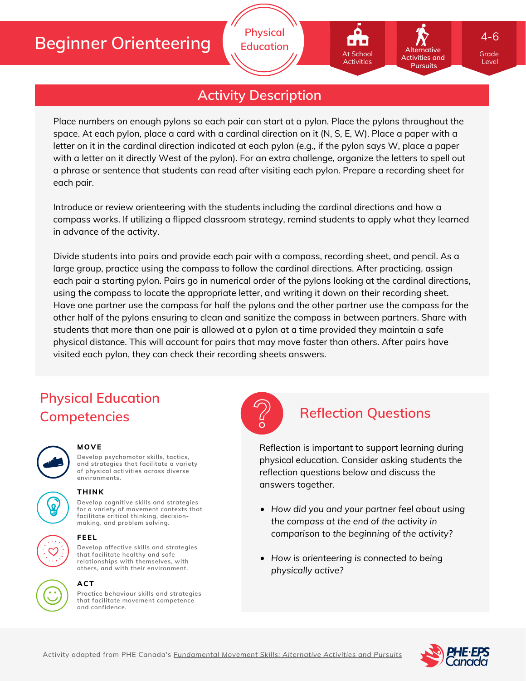# **Beginner Orienteering**

**Activity Description**

**Physical Education**

Place numbers on enough pylons so each pair can start at a pylon. Place the pylons throughout the space. At each pylon, place a card with a cardinal direction on it (N, S, E, W). Place a paper with a letter on it in the cardinal direction indicated at each pylon (e.g., if the pylon says W, place a paper with a letter on it directly West of the pylon). For an extra challenge, organize the letters to spell out a phrase or sentence that students can read after visiting each pylon. Prepare a recording sheet for each pair.

Introduce or review orienteering with the students including the cardinal directions and how a compass works. If utilizing a flipped classroom strategy, remind students to apply what they learned in advance of the activity.

Divide students into pairs and provide each pair with a compass, recording sheet, and pencil. As a large group, practice using the compass to follow the cardinal directions. After practicing, assign each pair a starting pylon. Pairs go in numerical order of the pylons looking at the cardinal directions, using the compass to locate the appropriate letter, and writing it down on their recording sheet. Have one partner use the compass for half the pylons and the other partner use the compass for the other half of the pylons ensuring to clean and sanitize the compass in between partners. Share with students that more than one pair is allowed at a pylon at a time provided they maintain a safe physical distance. This will account for pairs that may move faster than others. After pairs have visited each pylon, they can check their recording sheets answers.

## **Physical Education Competencies Reflection Questions**



### **MOVE**

**Develop psychomotor skills, tactics, and strategies that facilitate a variety of physical activities across diverse environments.**



## **THINK**

**Develop cognitive skills and strategies for a variety of movement contexts that facilitate critical thinking, decision making, and problem solving.**



#### **FEEL**

**Develop affective skills and strategies that facilitate healthy and safe relationships with themselves, with others, and with their environment.**

#### **ACT**



**Practice behaviour skills and strategies that facilitate movement competence and confidence.**



Reflection is important to support learning during physical education. Consider asking students the reflection questions below and discuss the answers together.

- *How did you and your partner feel about using the compass at the end of the activity in comparison to the beginning of the activity?*
- *How is orienteering is connected to being physically active?*



Grade Level

**Alternative Activities and Pursuits**

At School Activities

4-6